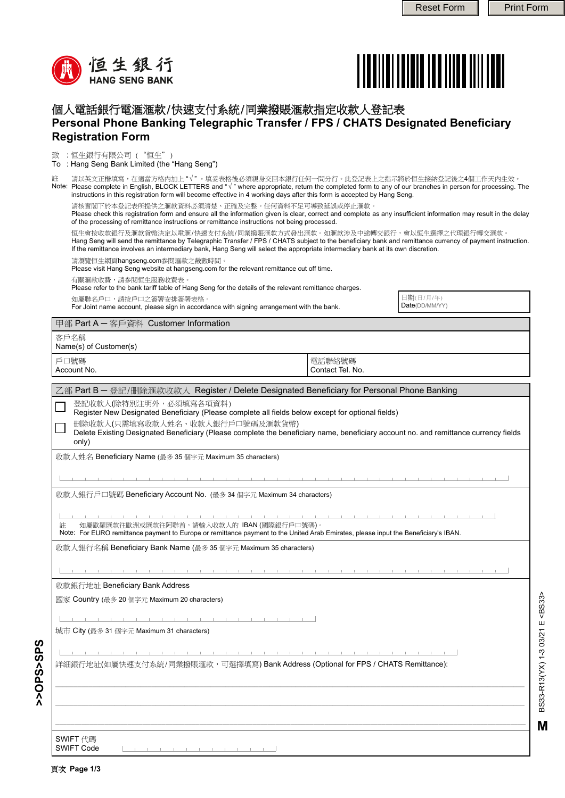



日期(日/月/年) Date(DD/MM/YY)

## 個人電話銀行電滙滙款/快速支付系統/同業撥賬滙款指定收款人登記表 **Personal Phone Banking Telegraphic Transfer / FPS / CHATS Designated Beneficiary Registration Form**

致 :恒生銀行有限公司 ("恒生")

: Hang Seng Bank Limited (the "Hang Seng") To

請以英文正楷填寫,在適當方格內加上 "√" 。填妥表格後必須親身交回本銀行任何一間分行。此登記表上之指示將於恒生接納登記後之4個工作天內生效。 Please complete in English, BLOCK LETTERS and "√ " where appropriate, return the completed form to any of our branches in person for processing. The instructions in this registration form will become effective in 4 working days after this form is accepted by Hang Seng. 註 Note:

請核實閣下於本登記表所提供之滙款資料必須清楚、正確及完整。任何資料不足可導致延誤或停止滙款。

Please check this registration form and ensure all the information given is clear, correct and complete as any insufficient information may result in the delay of the processing of remittance instructions or remittance instructions not being processed.

恒生會按收款銀行及滙款貨幣決定以電滙/快速支付系統/同業撥賬滙款方式發出滙款。如滙款涉及中途轉交銀行,會以恒生選擇之代理銀行轉交滙款。 Hang Seng will send the remittance by Telegraphic Transfer / FPS / CHATS subject to the beneficiary bank and remittance currency of payment instruction. If the remittance involves an intermediary bank, Hang Seng will select the appropriate intermediary bank at its own discretion.

請瀏覽恒生網頁hangseng.com参閱滙款之截數時間。

Please visit Hang Seng website at hangseng.com for the relevant remittance cut off time.

有關滙款收費,請参閱恒生服務收費表。

Please refer to the bank tariff table of Hang Seng for the details of the relevant remittance charges.

如屬聯名戶口,請按戶口之簽署安排簽署表格。

For Joint name account, please sign in accordance with signing arrangement with the bank.

甲部 Part A ─ 客戶資料 Customer Information

客戶名稱

Name(s) of Customer(s)

戶口號碼 Account No. 電話聯絡號碼 Contact Tel. No.

| 乙部 Part B ― 登記/删除滙款收款人 Register / Delete Designated Beneficiary for Personal Phone Banking , |  |  |
|----------------------------------------------------------------------------------------------|--|--|
|----------------------------------------------------------------------------------------------|--|--|

登記收款人(除特別注明外,必須填寫各項資料)

Register New Designated Beneficiary (Please complete all fields below except for optional fields)

删除收款人(只需填寫收款人姓名、收款人銀行戶口號碼及滙款貨幣)

Delete Existing Designated Beneficiary (Please complete the beneficiary name, beneficiary account no. and remittance currency fields only)

收款人姓名 Beneficiary Name (最多 35 個字元 Maximum 35 characters)

the control of the control of the control of and the control and the control

收款人銀行戶口號碼 Beneficiary Account No. (最多 34 個字元 Maximum 34 characters)

註

Note: For EURO remittance payment to Europe or remittance payment to the United Arab Emirates, please input the Beneficiary's IBAN. 如屬歐羅匯款往歐洲或匯款往阿聯酋,請輸入收款人的 IBAN (國際銀行戶口號碼)。

收款人銀行名稱 Beneficiary Bank Name (最多 35 個字元 Maximum 35 characters)

**\_\_\_\_\_\_\_\_\_\_\_\_\_\_\_\_\_\_\_\_\_\_\_\_\_\_\_\_\_\_\_\_\_\_\_\_\_\_\_\_\_\_\_\_\_\_\_\_\_\_\_\_\_\_\_\_\_\_\_\_\_\_\_\_\_\_\_\_\_\_\_\_\_\_\_\_\_\_\_\_\_\_\_\_\_\_\_\_\_\_\_\_\_\_\_\_\_\_\_\_\_\_\_\_\_\_\_\_\_\_\_\_\_\_\_\_\_\_\_\_\_\_\_\_\_\_\_ \_\_\_\_\_\_\_\_\_\_\_\_\_\_\_\_\_\_\_\_\_\_\_\_\_\_\_\_\_\_\_\_\_\_\_\_\_\_\_\_\_\_\_\_\_\_\_\_\_\_\_\_\_\_\_\_\_\_\_\_\_\_\_\_\_\_\_\_\_\_\_\_\_\_\_\_\_\_\_\_\_\_\_\_\_\_\_\_\_\_\_\_\_\_\_\_\_\_\_\_\_\_\_\_\_\_\_\_\_\_\_\_\_\_\_\_\_\_\_\_\_\_\_\_\_\_\_**

**\_\_\_\_\_\_\_\_\_\_\_\_\_\_\_\_\_\_\_\_\_\_\_\_\_\_\_\_\_\_\_\_\_\_\_\_\_\_\_\_\_\_\_\_\_\_\_\_\_\_\_\_\_\_\_\_\_\_\_\_\_\_\_\_\_\_\_\_\_\_\_\_\_\_\_\_\_\_\_\_\_\_\_\_\_\_\_\_\_\_\_\_\_\_\_\_\_\_\_\_\_\_\_\_\_\_\_\_\_\_\_\_\_\_\_\_\_\_\_\_\_\_\_\_**

收款銀行地址 Beneficiary Bank Address

國家 Country (最多 20 個字元 Maximum 20 characters)

城市 City (最多 31 個字元 Maximum 31 characters)

詳細銀行地址(如屬快速支付系統/同業撥賬滙款,可選擇填寫) Bank Address (Optional for FPS / CHATS Remittance):

SWIFT 代碼

SWIFT Code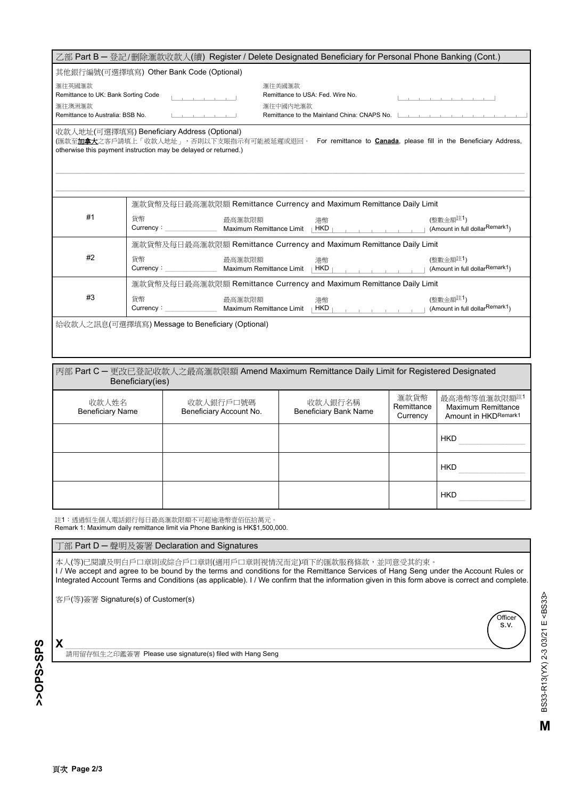| 乙部 Part B - 登記/删除滙款收款人(續) Register / Delete Designated Beneficiary for Personal Phone Banking (Cont.) |                                                                                                                    |                                               |                                     |                                                      |  |
|-------------------------------------------------------------------------------------------------------|--------------------------------------------------------------------------------------------------------------------|-----------------------------------------------|-------------------------------------|------------------------------------------------------|--|
| 其他銀行編號(可選擇填寫) Other Bank Code (Optional)                                                              |                                                                                                                    |                                               |                                     |                                                      |  |
| 滙往英國滙款                                                                                                |                                                                                                                    | 滙往美國滙款                                        |                                     |                                                      |  |
| Remittance to UK: Bank Sorting Code                                                                   |                                                                                                                    | Remittance to USA: Fed. Wire No.              |                                     | the contract of the contract product of the contract |  |
| 滙往澳洲滙款<br>滙往中國內地滙款                                                                                    |                                                                                                                    |                                               |                                     |                                                      |  |
| Remittance to Australia: BSB No.                                                                      |                                                                                                                    | Remittance to the Mainland China: CNAPS No. L |                                     |                                                      |  |
|                                                                                                       | 收款人地址(可選擇填寫) Beneficiary Address (Optional)                                                                        |                                               |                                     |                                                      |  |
|                                                                                                       | (匯款至 <b>加拿大</b> 之客戶請填上「收款人地址」,否則以下支賬指示有可能被延遲或退回。 For remittance to Canada, please fill in the Beneficiary Address, |                                               |                                     |                                                      |  |
|                                                                                                       | otherwise this payment instruction may be delayed or returned.)                                                    |                                               |                                     |                                                      |  |
|                                                                                                       |                                                                                                                    |                                               |                                     |                                                      |  |
|                                                                                                       |                                                                                                                    |                                               |                                     |                                                      |  |
|                                                                                                       |                                                                                                                    |                                               |                                     |                                                      |  |
|                                                                                                       | 滙款貨幣及每日最高滙款限額 Remittance Currency and Maximum Remittance Daily Limit                                               |                                               |                                     |                                                      |  |
| #1                                                                                                    | 貨幣<br>最高滙款限額                                                                                                       | 港幣                                            |                                     | (整數金額註1)                                             |  |
|                                                                                                       | Currency:                                                                                                          | Maximum Remittance Limit   HKD                |                                     | (Amount in full dollarRemark1)                       |  |
|                                                                                                       | 滙款貨幣及每日最高滙款限額 Remittance Currency and Maximum Remittance Daily Limit                                               |                                               |                                     |                                                      |  |
| #2                                                                                                    | 貨幣<br>最高滙款限額                                                                                                       | 港幣                                            |                                     | (整數金額註1)                                             |  |
|                                                                                                       | Currency:                                                                                                          | Maximum Remittance Limit   HKD                |                                     | (Amount in full dollarRemark1)                       |  |
|                                                                                                       | 滙款貨幣及每日最高滙款限額 Remittance Currency and Maximum Remittance Daily Limit                                               |                                               |                                     |                                                      |  |
| #3                                                                                                    | 貨幣<br>最高滙款限額                                                                                                       | 港幣                                            |                                     | (整數金額註1)                                             |  |
|                                                                                                       | Currency:                                                                                                          | Maximum Remittance Limit   HKD                | the contract of the contract of the | (Amount in full dollarRemark1)                       |  |
| 給收款人之訊息(可選擇填寫) Message to Beneficiary (Optional)                                                      |                                                                                                                    |                                               |                                     |                                                      |  |
|                                                                                                       |                                                                                                                    |                                               |                                     |                                                      |  |
|                                                                                                       |                                                                                                                    |                                               |                                     |                                                      |  |

| │丙部 Part C ― 更改已登記收款人之最高滙款限額 Amend Maximum Remittance Daily Limit for Registered Designated<br>Beneficiary(ies) |                                      |                                         |                                |                                                            |  |
|-----------------------------------------------------------------------------------------------------------------|--------------------------------------|-----------------------------------------|--------------------------------|------------------------------------------------------------|--|
| 收款人姓名<br><b>Beneficiary Name</b>                                                                                | 收款人銀行戶口號碼<br>Beneficiary Account No. | 收款人銀行名稱<br><b>Beneficiary Bank Name</b> | 滙款貨幣<br>Remittance<br>Currency | 最高港幣等值滙款限額註1<br>Maximum Remittance<br>Amount in HKDRemark1 |  |
|                                                                                                                 |                                      |                                         | ▼                              | <b>HKD</b>                                                 |  |
|                                                                                                                 |                                      |                                         | ▼                              | <b>HKD</b>                                                 |  |
|                                                                                                                 |                                      |                                         | $\overline{\phantom{a}}$       | <b>HKD</b>                                                 |  |

註1:透過恒生個人電話銀行每日最高滙款限額不可超逾港幣壹佰伍拾萬元。 Remark 1: Maximum daily remittance limit via Phone Banking is HK\$1,500,000.

## 丁部 Part D ─ 聲明及簽署 Declaration and Signatures

本人(等)已閱讀及明白戶口章則家給戶口章則(適用戶口章則視情況而定)項下的匯款服務條款,並同意受其約束。 I / We accept and agree to be bound by the terms and conditions for the Remittance Services of Hang Seng under the Account Rules or Integrated Account Terms and Conditions (as applicable). I / We confirm that the information given in this form above is correct and complete.

客戶(等)簽署 Signature(s) of Customer(s)

>>OPS<SPS **>>OPS>SPS**

**X** \_\_\_\_\_\_\_\_\_\_\_\_\_\_\_\_\_\_\_\_\_\_\_\_\_\_\_\_\_\_\_\_\_\_\_\_\_\_\_\_\_\_\_\_\_\_\_\_\_\_\_\_\_\_\_\_\_\_\_\_\_\_\_\_\_\_\_\_\_\_\_\_\_\_\_\_\_\_\_\_\_\_\_\_\_\_\_\_\_\_\_\_\_\_\_\_\_\_\_\_\_\_\_\_ 請用留存恒生之印鑑簽署 Please use signature(s) filed with Hang Seng